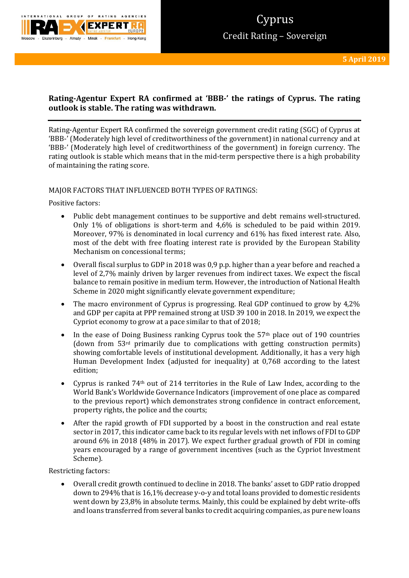

# **Rating-Agentur Expert RA confirmed at 'BBB-' the ratings of Cyprus. The rating outlook is stable. The rating was withdrawn.**

Rating-Agentur Expert RA confirmed the sovereign government credit rating (SGC) of Cyprus at 'BBB-' (Moderately high level of creditworthiness of the government) in national currency and at 'BBB-' (Moderately high level of creditworthiness of the government) in foreign currency. The rating outlook is stable which means that in the mid-term perspective there is a high probability of maintaining the rating score.

# MAJOR FACTORS THAT INFLUENCED BOTH TYPES OF RATINGS:

Positive factors:

- Public debt management continues to be supportive and debt remains well-structured. Only 1% of obligations is short-term and 4,6% is scheduled to be paid within 2019. Moreover, 97% is denominated in local currency and 61% has fixed interest rate. Also, most of the debt with free floating interest rate is provided by the European Stability Mechanism on concessional terms;
- Overall fiscal surplus to GDP in 2018 was 0,9 p.p. higher than a year before and reached a level of 2,7% mainly driven by larger revenues from indirect taxes. We expect the fiscal balance to remain positive in medium term. However, the introduction of National Health Scheme in 2020 might significantly elevate government expenditure;
- The macro environment of Cyprus is progressing. Real GDP continued to grow by 4,2% and GDP per capita at PPP remained strong at USD 39 100 in 2018. In 2019, we expect the Cypriot economy to grow at a pace similar to that of 2018;
- In the ease of Doing Business ranking Cyprus took the  $57<sup>th</sup>$  place out of 190 countries (down from 53rd primarily due to complications with getting construction permits) showing comfortable levels of institutional development. Additionally, it has a very high Human Development Index (adjusted for inequality) at 0,768 according to the latest edition;
- Cyprus is ranked 74th out of 214 territories in the Rule of Law Index, according to the World Bank's Worldwide Governance Indicators (improvement of one place as compared to the previous report) which demonstrates strong confidence in contract enforcement, property rights, the police and the courts;
- After the rapid growth of FDI supported by a boost in the construction and real estate sector in 2017, this indicator came back to its regular levels with net inflows of FDI to GDP around 6% in 2018 (48% in 2017). We expect further gradual growth of FDI in coming years encouraged by a range of government incentives (such as the Cypriot Investment Scheme).

Restricting factors:

 Overall credit growth continued to decline in 2018. The banks' asset to GDP ratio dropped down to 294% that is 16,1% decrease y-o-y and total loans provided to domestic residents went down by 23,8% in absolute terms. Mainly, this could be explained by debt write-offs and loans transferred from several banks to credit acquiring companies, as pure new loans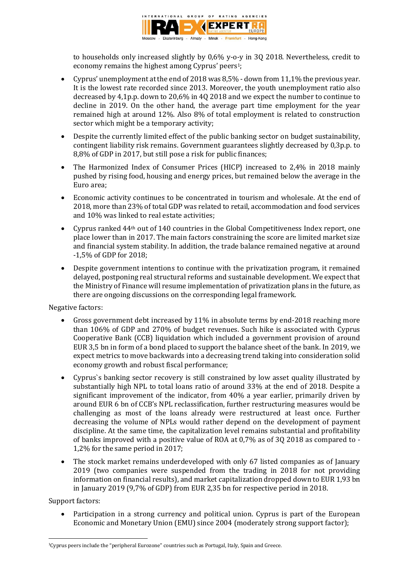

to households only increased slightly by 0,6% y-o-y in 3Q 2018. Nevertheless, credit to economy remains the highest among Cyprus' peers<sup>1</sup>;

- Cyprus' unemployment at the end of 2018 was 8,5% down from 11,1% the previous year. It is the lowest rate recorded since 2013. Moreover, the youth unemployment ratio also decreased by 4,1p.p. down to 20,6% in 4Q 2018 and we expect the number to continue to decline in 2019. On the other hand, the average part time employment for the year remained high at around 12%. Also 8% of total employment is related to construction sector which might be a temporary activity;
- Despite the currently limited effect of the public banking sector on budget sustainability, contingent liability risk remains. Government guarantees slightly decreased by 0,3p.p. to 8,8% of GDP in 2017, but still pose a risk for public finances;
- The Harmonized Index of Consumer Prices (HICP) increased to 2,4% in 2018 mainly pushed by rising food, housing and energy prices, but remained below the average in the Euro area;
- Economic activity continues to be concentrated in tourism and wholesale. At the end of 2018, more than 23% of total GDP was related to retail, accommodation and food services and 10% was linked to real estate activities;
- Cyprus ranked 44th out of 140 countries in the Global Competitiveness Index report, one place lower than in 2017. The main factors constraining the score are limited market size and financial system stability. In addition, the trade balance remained negative at around -1,5% of GDP for 2018;
- Despite government intentions to continue with the privatization program, it remained delayed, postponing real structural reforms and sustainable development. We expect that the Ministry of Finance will resume implementation of privatization plans in the future, as there are ongoing discussions on the corresponding legal framework.

Negative factors:

- Gross government debt increased by 11% in absolute terms by end-2018 reaching more than 106% of GDP and 270% of budget revenues. Such hike is associated with Cyprus Cooperative Bank (CCB) liquidation which included a government provision of around EUR 3,5 bn in form of a bond placed to support the balance sheet of the bank. In 2019, we expect metrics to move backwards into a decreasing trend taking into consideration solid economy growth and robust fiscal performance;
- Cyprus`s banking sector recovery is still constrained by low asset quality illustrated by substantially high NPL to total loans ratio of around 33% at the end of 2018. Despite a significant improvement of the indicator, from 40% a year earlier, primarily driven by around EUR 6 bn of CCB's NPL reclassification, further restructuring measures would be challenging as most of the loans already were restructured at least once. Further decreasing the volume of NPLs would rather depend on the development of payment discipline. At the same time, the capitalization level remains substantial and profitability of banks improved with a positive value of ROA at 0,7% as of 3Q 2018 as compared to - 1,2% for the same period in 2017;
- The stock market remains underdeveloped with only 67 listed companies as of January 2019 (two companies were suspended from the trading in 2018 for not providing information on financial results), and market capitalization dropped down to EUR 1,93 bn in January 2019 (9,7% of GDP) from EUR 2,35 bn for respective period in 2018.

Support factors:

 Participation in a strong currency and political union. Cyprus is part of the European Economic and Monetary Union (EMU) since 2004 (moderately strong support factor);

**<sup>.</sup>** <sup>1</sup>Cyprus peers include the "peripheral Eurozone" countries such as Portugal, Italy, Spain and Greece.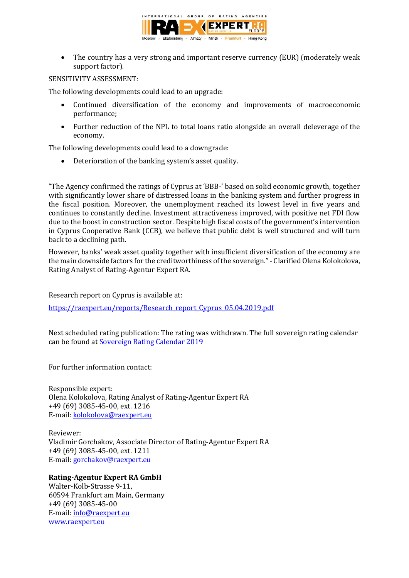

 The country has a very strong and important reserve currency (EUR) (moderately weak support factor).

# SENSITIVITY ASSESSMENT:

The following developments could lead to an upgrade:

- Continued diversification of the economy and improvements of macroeconomic performance;
- Further reduction of the NPL to total loans ratio alongside an overall deleverage of the economy.

The following developments could lead to a downgrade:

Deterioration of the banking system's asset quality.

"The Agency confirmed the ratings of Cyprus at 'BBB-' based on solid economic growth, together with significantly lower share of distressed loans in the banking system and further progress in the fiscal position. Moreover, the unemployment reached its lowest level in five years and continues to constantly decline. Investment attractiveness improved, with positive net FDI flow due to the boost in construction sector. Despite high fiscal costs of the government's intervention in Cyprus Cooperative Bank (CCB), we believe that public debt is well structured and will turn back to a declining path.

However, banks' weak asset quality together with insufficient diversification of the economy are the main downside factors for the creditworthiness of the sovereign."- Clarified Olena Kolokolova, Rating Analyst of Rating-Agentur Expert RA.

Research report on Cyprus is available at:

[https://raexpert.eu/reports/Research\\_report\\_Cyprus\\_05.04.2019.pdf](https://raexpert.eu/reports/Research_report_Cyprus_05.04.2019.pdf)

Next scheduled rating publication: The rating was withdrawn. The full sovereign rating calendar can be found at [Sovereign Rating Calendar 2019](https://raexpert.eu/sovereign/#conf-tab-5)

For further information contact:

Responsible expert: Olena Kolokolova, Rating Analyst of Rating-Agentur Expert RA +49 (69) 3085-45-00, ext. 1216 E-mail: k[olokolova@raexpert.eu](mailto:kolokolova@raexpert.eu)

Reviewer: Vladimir Gorchakov, Associate Director of Rating-Agentur Expert RA +49 (69) 3085-45-00, ext. 1211 E-mail[: gorchakov@raexpert.eu](mailto:gorchakov@raexpert.eu)

# **Rating-Agentur Expert RA GmbH**

Walter-Kolb-Strasse 9-11, 60594 Frankfurt am Main, Germany +49 (69) 3085-45-00 E-mail[: info@raexpert.eu](mailto:info@raexpert.eu) [www.raexpert.eu](http://raexpert.eu/)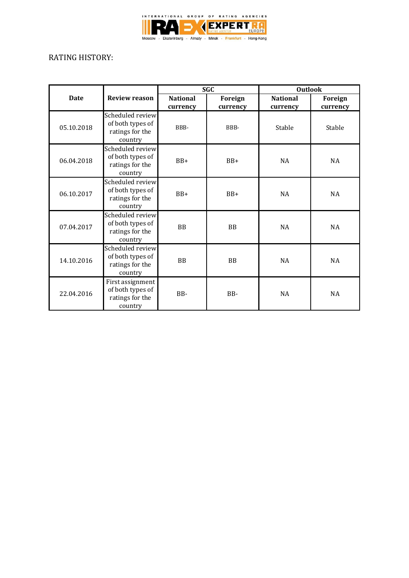

# RATING HISTORY:

|             |                                                                    | <b>SGC</b>      |           | <b>Outlook</b>  |           |
|-------------|--------------------------------------------------------------------|-----------------|-----------|-----------------|-----------|
| <b>Date</b> | <b>Review reason</b>                                               | <b>National</b> | Foreign   | <b>National</b> | Foreign   |
|             |                                                                    | currency        | currency  | currency        | currency  |
| 05.10.2018  | Scheduled review<br>of both types of<br>ratings for the<br>country | BBB-            | BBB-      | Stable          | Stable    |
| 06.04.2018  | Scheduled review<br>of both types of<br>ratings for the<br>country | $BB+$           | $BB+$     | <b>NA</b>       | <b>NA</b> |
| 06.10.2017  | Scheduled review<br>of both types of<br>ratings for the<br>country | $BB+$           | $BB+$     | NA              | <b>NA</b> |
| 07.04.2017  | Scheduled review<br>of both types of<br>ratings for the<br>country | <b>BB</b>       | <b>BB</b> | <b>NA</b>       | <b>NA</b> |
| 14.10.2016  | Scheduled review<br>of both types of<br>ratings for the<br>country | <b>BB</b>       | <b>BB</b> | NA              | <b>NA</b> |
| 22.04.2016  | First assignment<br>of both types of<br>ratings for the<br>country | BB-             | BB-       | <b>NA</b>       | <b>NA</b> |